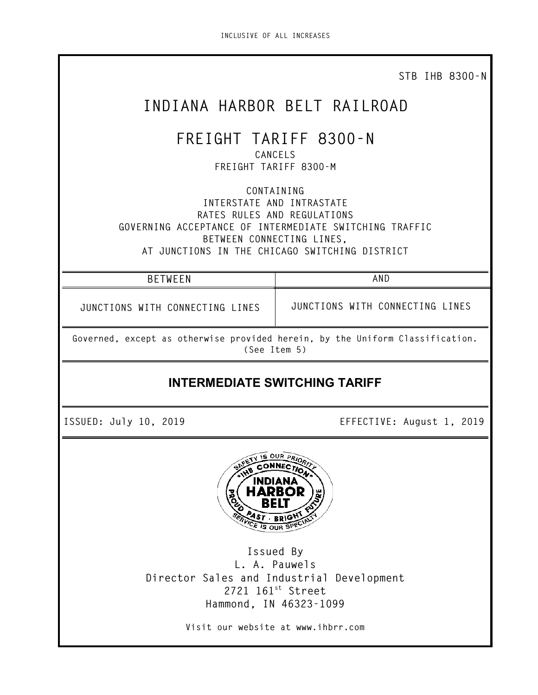**STB IHB 8300-N**

# **INDIANA HARBOR BELT RAILROAD**

## **FREIGHT TARIFF 8300-N**

**CANCELS FREIGHT TARIFF 8300-M**

**CONTAINING INTERSTATE AND INTRASTATE RATES RULES AND REGULATIONS GOVERNING ACCEPTANCE OF INTERMEDIATE SWITCHING TRAFFIC BETWEEN CONNECTING LINES, AT JUNCTIONS IN THE CHICAGO SWITCHING DISTRICT**

| BETWEEN                         | AND                             |  |
|---------------------------------|---------------------------------|--|
| JUNCTIONS WITH CONNECTING LINES | JUNCTIONS WITH CONNECTING LINES |  |

**Governed, except as otherwise provided herein, by the Uniform Classification. (See Item 5)**

### **INTERMEDIATE SWITCHING TARIFF**

**ISSUED: July 10, 2019 EFFECTIVE: August 1, 2019**



**Issued By L. A. Pauwels Director Sales and Industrial Development 2721 161st Street Hammond, IN 46323-1099**

**Visit our website at www.ihbrr.com**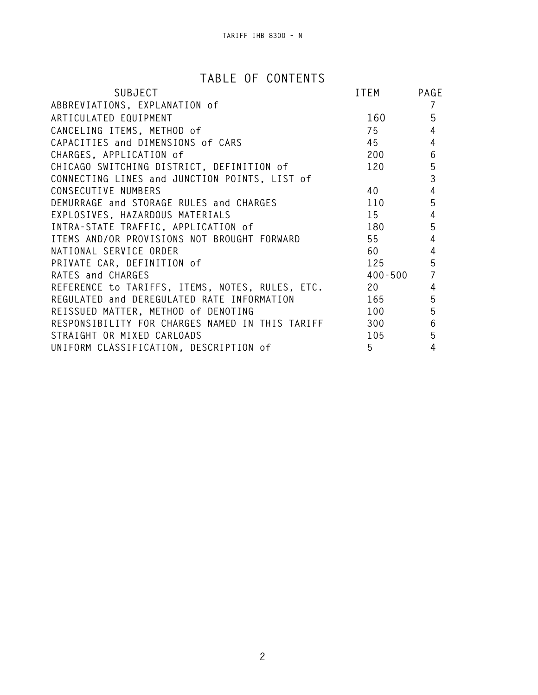### **TABLE OF CONTENTS**

| SUBJECT                                         | ITEM    | PAGE           |
|-------------------------------------------------|---------|----------------|
| ABBREVIATIONS, EXPLANATION of                   |         | 7              |
| ARTICULATED EQUIPMENT                           | 160     | 5              |
| CANCELING ITEMS, METHOD of                      | 75      | $\overline{4}$ |
| CAPACITIES and DIMENSIONS of CARS               | 45      | $\overline{4}$ |
| CHARGES, APPLICATION of                         | 200     | 6              |
| CHICAGO SWITCHING DISTRICT, DEFINITION of       | 120     | 5              |
| CONNECTING LINES and JUNCTION POINTS, LIST of   |         | 3              |
| CONSECUTIVE NUMBERS                             | 40      | 4              |
| DEMURRAGE and STORAGE RULES and CHARGES         | 110     | 5              |
| EXPLOSIVES, HAZARDOUS MATERIALS                 | 15      | 4              |
| 180<br>INTRA-STATE TRAFFIC, APPLICATION of      |         | 5              |
| ITEMS AND/OR PROVISIONS NOT BROUGHT FORWARD     | 55      | 4              |
| NATIONAL SERVICE ORDER                          | 60      | $\overline{4}$ |
| PRIVATE CAR, DEFINITION of                      | 125     | 5              |
| RATES and CHARGES                               | 400-500 | $\overline{7}$ |
| REFERENCE to TARIFFS, ITEMS, NOTES, RULES, ETC. | 20      | 4              |
| REGULATED and DEREGULATED RATE INFORMATION      | 165     | 5              |
| REISSUED MATTER, METHOD of DENOTING             | 100     | 5              |
| RESPONSIBILITY FOR CHARGES NAMED IN THIS TARIFF | 300     | 6              |
| STRAIGHT OR MIXED CARLOADS                      | 105     | 5              |
| UNIFORM CLASSIFICATION, DESCRIPTION of          | 5       | 4              |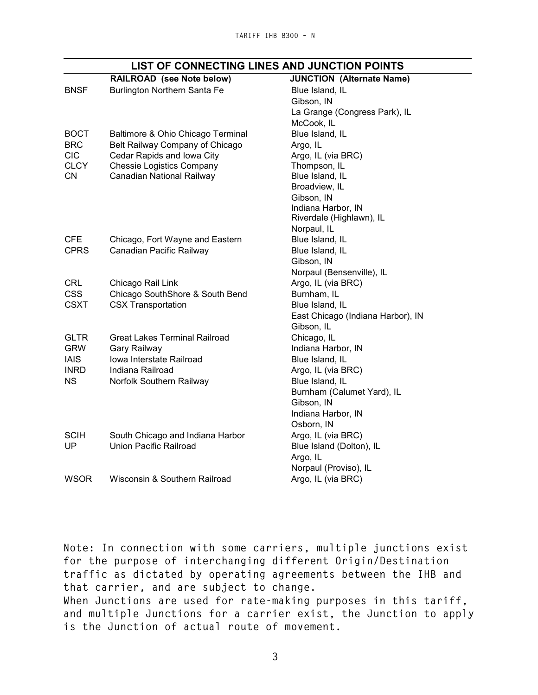|             | RAILROAD (see Note below)            | <b>JUNCTION (Alternate Name)</b>  |
|-------------|--------------------------------------|-----------------------------------|
| <b>BNSF</b> | Burlington Northern Santa Fe         | Blue Island, IL                   |
|             |                                      | Gibson, IN                        |
|             |                                      | La Grange (Congress Park), IL     |
|             |                                      | McCook, IL                        |
| <b>BOCT</b> | Baltimore & Ohio Chicago Terminal    | Blue Island, IL                   |
| <b>BRC</b>  | Belt Railway Company of Chicago      | Argo, IL                          |
| <b>CIC</b>  | Cedar Rapids and Iowa City           | Argo, IL (via BRC)                |
| <b>CLCY</b> | <b>Chessie Logistics Company</b>     | Thompson, IL                      |
| <b>CN</b>   | Canadian National Railway            | Blue Island, IL                   |
|             |                                      | Broadview, IL                     |
|             |                                      | Gibson, IN                        |
|             |                                      | Indiana Harbor, IN                |
|             |                                      | Riverdale (Highlawn), IL          |
|             |                                      | Norpaul, IL                       |
| <b>CFE</b>  | Chicago, Fort Wayne and Eastern      | Blue Island, IL                   |
| <b>CPRS</b> | Canadian Pacific Railway             | Blue Island, IL                   |
|             |                                      | Gibson, IN                        |
|             |                                      | Norpaul (Bensenville), IL         |
| <b>CRL</b>  | Chicago Rail Link                    | Argo, IL (via BRC)                |
| <b>CSS</b>  | Chicago SouthShore & South Bend      | Burnham, IL                       |
| <b>CSXT</b> | <b>CSX Transportation</b>            | Blue Island, IL                   |
|             |                                      | East Chicago (Indiana Harbor), IN |
|             |                                      | Gibson, IL                        |
| <b>GLTR</b> | <b>Great Lakes Terminal Railroad</b> | Chicago, IL                       |
| <b>GRW</b>  | Gary Railway                         | Indiana Harbor, IN                |
| <b>IAIS</b> | Iowa Interstate Railroad             | Blue Island, IL                   |
| <b>INRD</b> | Indiana Railroad                     | Argo, IL (via BRC)                |
| <b>NS</b>   | Norfolk Southern Railway             | Blue Island, IL                   |
|             |                                      | Burnham (Calumet Yard), IL        |
|             |                                      | Gibson, IN                        |
|             |                                      | Indiana Harbor, IN                |
|             |                                      | Osborn, IN                        |
| <b>SCIH</b> | South Chicago and Indiana Harbor     | Argo, IL (via BRC)                |
| UP          | <b>Union Pacific Railroad</b>        | Blue Island (Dolton), IL          |
|             |                                      | Argo, IL                          |
|             |                                      | Norpaul (Proviso), IL             |
| <b>WSOR</b> | Wisconsin & Southern Railroad        | Argo, IL (via BRC)                |
|             |                                      |                                   |

### **LIST OF CONNECTING LINES AND JUNCTION POINTS**

**Note: In connection with some carriers, multiple junctions exist for the purpose of interchanging different Origin/Destination traffic as dictated by operating agreements between the IHB and that carrier, and are subject to change. When Junctions are used for rate-making purposes in this tariff, and multiple Junctions for a carrier exist, the Junction to apply is the Junction of actual route of movement.**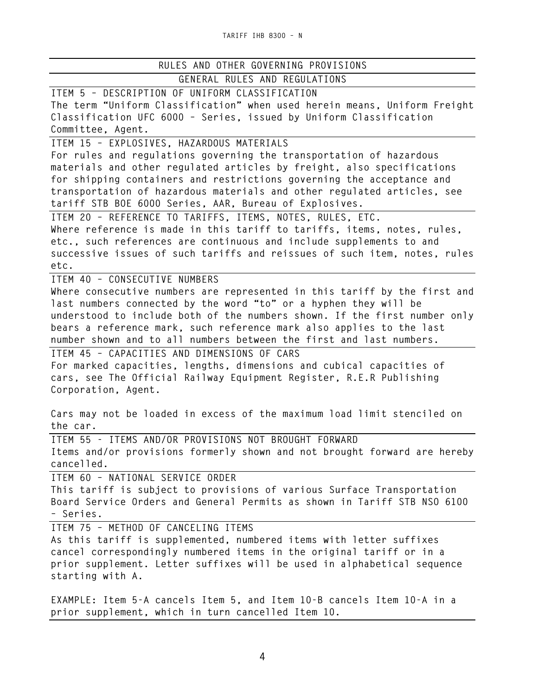#### **RULES AND OTHER GOVERNING PROVISIONS GENERAL RULES AND REGULATIONS**

**ITEM 5 – DESCRIPTION OF UNIFORM CLASSIFICATION The term "Uniform Classification" when used herein means, Uniform Freight Classification UFC 6000 – Series, issued by Uniform Classification Committee, Agent. ITEM 15 – EXPLOSIVES, HAZARDOUS MATERIALS**

**For rules and regulations governing the transportation of hazardous materials and other regulated articles by freight, also specifications for shipping containers and restrictions governing the acceptance and transportation of hazardous materials and other regulated articles, see tariff STB BOE 6000 Series, AAR, Bureau of Explosives.**

**ITEM 20 – REFERENCE TO TARIFFS, ITEMS, NOTES, RULES, ETC. Where reference is made in this tariff to tariffs, items, notes, rules, etc., such references are continuous and include supplements to and successive issues of such tariffs and reissues of such item, notes, rules etc.**

**ITEM 40 – CONSECUTIVE NUMBERS**

**Where consecutive numbers are represented in this tariff by the first and last numbers connected by the word "to" or a hyphen they will be understood to include both of the numbers shown. If the first number only bears a reference mark, such reference mark also applies to the last number shown and to all numbers between the first and last numbers.**

**ITEM 45 – CAPACITIES AND DIMENSIONS OF CARS For marked capacities, lengths, dimensions and cubical capacities of cars, see The Official Railway Equipment Register, R.E.R Publishing Corporation, Agent.**

**Cars may not be loaded in excess of the maximum load limit stenciled on the car.**

**ITEM 55 - ITEMS AND/OR PROVISIONS NOT BROUGHT FORWARD Items and/or provisions formerly shown and not brought forward are hereby cancelled.**

**ITEM 60 – NATIONAL SERVICE ORDER This tariff is subject to provisions of various Surface Transportation Board Service Orders and General Permits as shown in Tariff STB NSO 6100 – Series.**

**ITEM 75 – METHOD OF CANCELING ITEMS**

**As this tariff is supplemented, numbered items with letter suffixes cancel correspondingly numbered items in the original tariff or in a prior supplement. Letter suffixes will be used in alphabetical sequence starting with A.**

**EXAMPLE: Item 5-A cancels Item 5, and Item 10-B cancels Item 10-A in a prior supplement, which in turn cancelled Item 10.**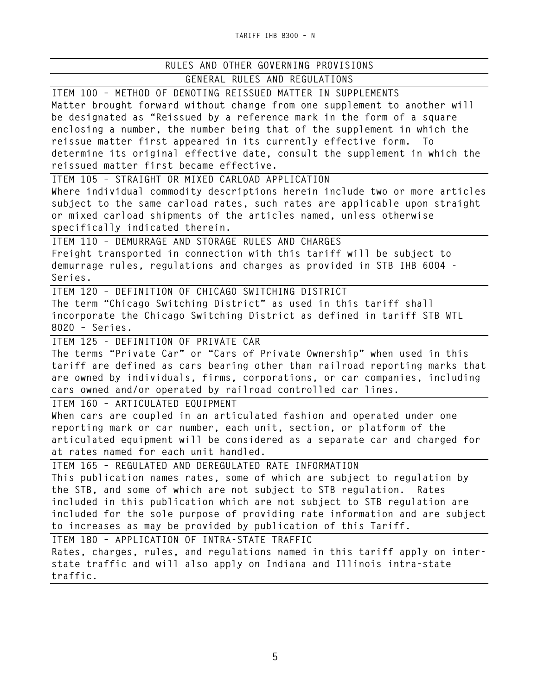#### **RULES AND OTHER GOVERNING PROVISIONS GENERAL RULES AND REGULATIONS**

**ITEM 100 – METHOD OF DENOTING REISSUED MATTER IN SUPPLEMENTS Matter brought forward without change from one supplement to another will be designated as "Reissued by a reference mark in the form of a square enclosing a number, the number being that of the supplement in which the reissue matter first appeared in its currently effective form. To determine its original effective date, consult the supplement in which the reissued matter first became effective. ITEM 105 – STRAIGHT OR MIXED CARLOAD APPLICATION Where individual commodity descriptions herein include two or more articles subject to the same carload rates, such rates are applicable upon straight or mixed carload shipments of the articles named, unless otherwise specifically indicated therein. ITEM 110 – DEMURRAGE AND STORAGE RULES AND CHARGES Freight transported in connection with this tariff will be subject to demurrage rules, regulations and charges as provided in STB IHB 6004 - Series. ITEM 120 – DEFINITION OF CHICAGO SWITCHING DISTRICT The term "Chicago Switching District" as used in this tariff shall incorporate the Chicago Switching District as defined in tariff STB WTL 8020 – Series. ITEM 125 - DEFINITION OF PRIVATE CAR The terms "Private Car" or "Cars of Private Ownership" when used in this tariff are defined as cars bearing other than railroad reporting marks that are owned by individuals, firms, corporations, or car companies, including cars owned and/or operated by railroad controlled car lines. ITEM 160 – ARTICULATED EQUIPMENT When cars are coupled in an articulated fashion and operated under one reporting mark or car number, each unit, section, or platform of the articulated equipment will be considered as a separate car and charged for at rates named for each unit handled. ITEM 165 – REGULATED AND DEREGULATED RATE INFORMATION This publication names rates, some of which are subject to regulation by the STB, and some of which are not subject to STB regulation. Rates included in this publication which are not subject to STB regulation are included for the sole purpose of providing rate information and are subject to increases as may be provided by publication of this Tariff. ITEM 180 – APPLICATION OF INTRA-STATE TRAFFIC Rates, charges, rules, and regulations named in this tariff apply on interstate traffic and will also apply on Indiana and Illinois intra-state traffic.**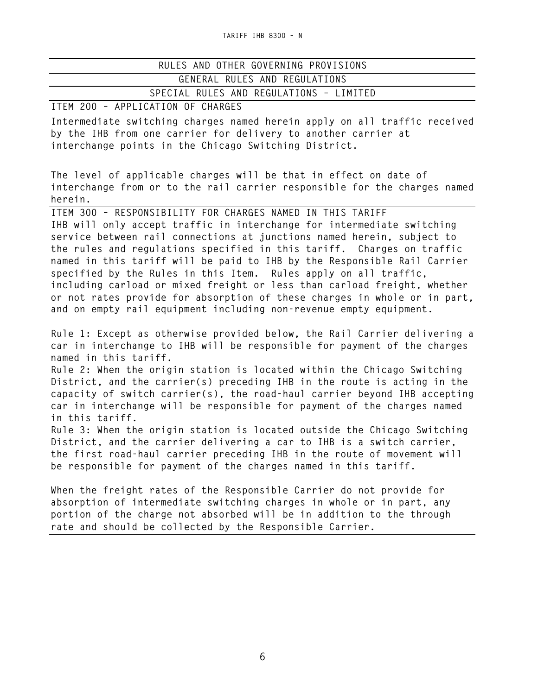| RULES AND OTHER GOVERNING PROVISIONS    |  |
|-----------------------------------------|--|
| GENERAL RULES AND REGULATIONS           |  |
| SPECIAL RULES AND REGULATIONS - LIMITED |  |
|                                         |  |

**ITEM 200 – APPLICATION OF CHARGES** 

**Intermediate switching charges named herein apply on all traffic received by the IHB from one carrier for delivery to another carrier at interchange points in the Chicago Switching District.**

**The level of applicable charges will be that in effect on date of interchange from or to the rail carrier responsible for the charges named herein.**

**ITEM 300 – RESPONSIBILITY FOR CHARGES NAMED IN THIS TARIFF IHB will only accept traffic in interchange for intermediate switching service between rail connections at junctions named herein, subject to the rules and regulations specified in this tariff. Charges on traffic named in this tariff will be paid to IHB by the Responsible Rail Carrier specified by the Rules in this Item. Rules apply on all traffic, including carload or mixed freight or less than carload freight, whether or not rates provide for absorption of these charges in whole or in part, and on empty rail equipment including non-revenue empty equipment.**

**Rule 1: Except as otherwise provided below, the Rail Carrier delivering a car in interchange to IHB will be responsible for payment of the charges named in this tariff.**

**Rule 2: When the origin station is located within the Chicago Switching District, and the carrier(s) preceding IHB in the route is acting in the capacity of switch carrier(s), the road-haul carrier beyond IHB accepting car in interchange will be responsible for payment of the charges named in this tariff.**

**Rule 3: When the origin station is located outside the Chicago Switching District, and the carrier delivering a car to IHB is a switch carrier, the first road-haul carrier preceding IHB in the route of movement will be responsible for payment of the charges named in this tariff.**

**When the freight rates of the Responsible Carrier do not provide for absorption of intermediate switching charges in whole or in part, any portion of the charge not absorbed will be in addition to the through rate and should be collected by the Responsible Carrier.**